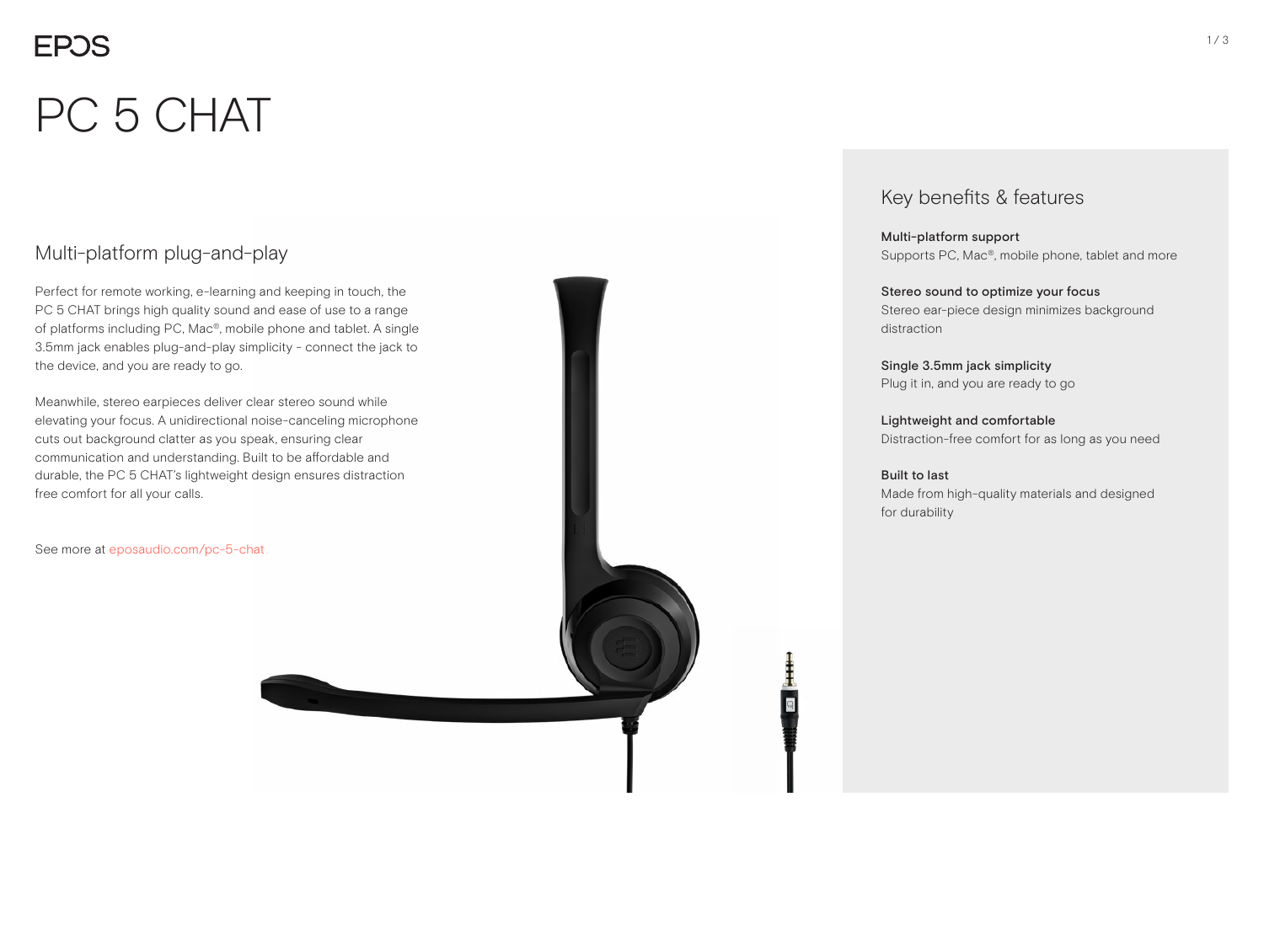# **EPOS**

# PC 5 CHAT

## Multi-platform plug-and-play

Perfect for remote working, e-learning and keeping in touch, the PC 5 CHAT brings high quality sound and ease of use to a range of platforms including PC, Mac®, mobile phone and tablet. A single 3.5mm jack enables plug-and-play simplicity - connect the jack to the device, and you are ready to go.

Meanwhile, stereo earpieces deliver clear stereo sound while elevating your focus. A unidirectional noise-canceling microphone cuts out background clatter as you speak, ensuring clear communication and understanding. Built to be affordable and durable, the PC 5 CHAT's lightweight design ensures distraction free comfort for all your calls.

See more at eposaudio.com/pc-5-chat

## Key benefits & features

Multi-platform support Supports PC, Mac®, mobile phone, tablet and more

Stereo sound to optimize your focus Stereo ear-piece design minimizes background distraction

Single 3.5mm jack simplicity Plug it in, and you are ready to go

Lightweight and comfortable Distraction-free comfort for as long as you need

### Built to last

Made from high-quality materials and designed for durability

ŧ O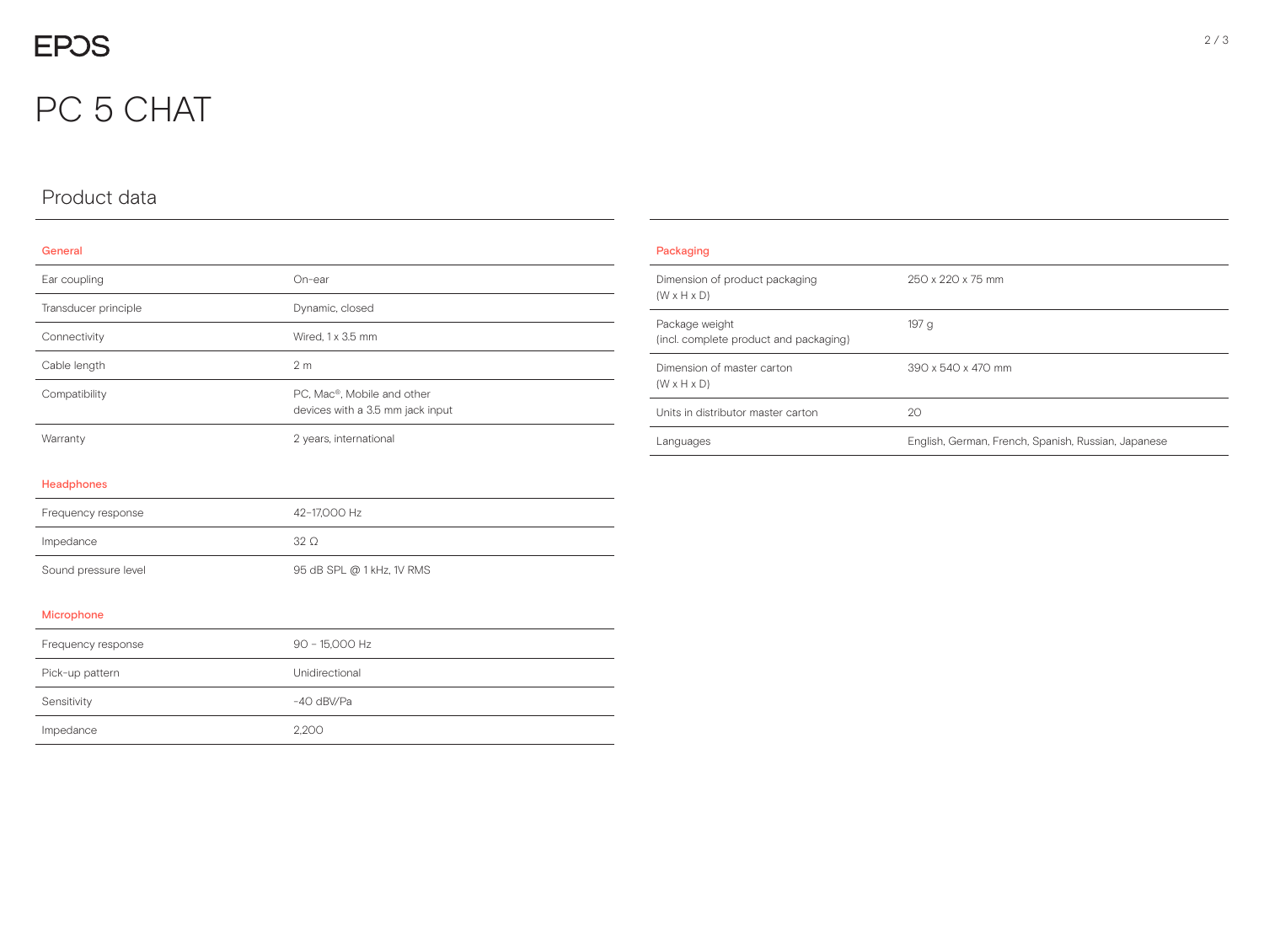## PC 5 CHAT

## Product data

#### General

| Ear coupling         | $On-ear$                                                       |
|----------------------|----------------------------------------------------------------|
| Transducer principle | Dynamic, closed                                                |
| Connectivity         | Wired, 1 x 3.5 mm                                              |
| Cable length         | 2 <sub>m</sub>                                                 |
| Compatibility        | PC, Mac®, Mobile and other<br>devices with a 3.5 mm jack input |
| Warranty             | 2 years, international                                         |

| Packaging                                                 |                                                     |
|-----------------------------------------------------------|-----------------------------------------------------|
| Dimension of product packaging<br>$(W \times H \times D)$ | 250 x 220 x 75 mm                                   |
| Package weight<br>(incl. complete product and packaging)  | 197 <sub>g</sub>                                    |
| Dimension of master carton<br>$(W \times H \times D)$     | 390 x 540 x 470 mm                                  |
| Units in distributor master carton                        | 20                                                  |
| Languages                                                 | English, German, French, Spanish, Russian, Japanese |

#### Headphones

| Frequency response   | 42-17.000 Hz              |
|----------------------|---------------------------|
| Impedance            | 32O                       |
| Sound pressure level | 95 dB SPL @ 1 kHz, 1V RMS |

#### Microphone

| Frequency response | 90 - 15,000 Hz |
|--------------------|----------------|
| Pick-up pattern    | Unidirectional |
| Sensitivity        | $-40$ dBV/Pa   |
| Impedance          | 2.200          |

#### 2 / 3